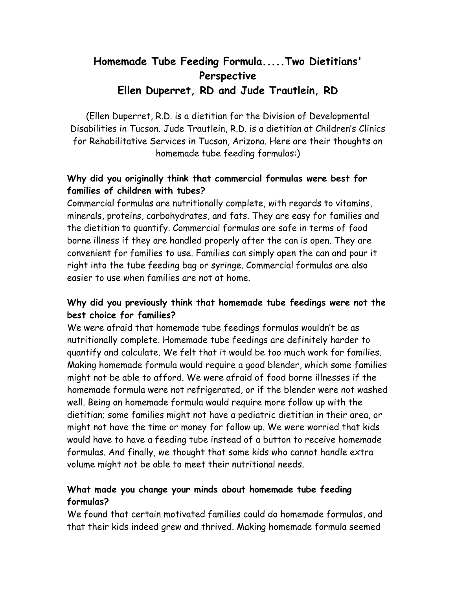# **Homemade Tube Feeding Formula.....Two Dietitians' Perspective Ellen Duperret, RD and Jude Trautlein, RD**

(Ellen Duperret, R.D. is a dietitian for the Division of Developmental Disabilities in Tucson. Jude Trautlein, R.D. is a dietitian at Children's Clinics for Rehabilitative Services in Tucson, Arizona. Here are their thoughts on homemade tube feeding formulas:)

## **Why did you originally think that commercial formulas were best for families of children with tubes?**

Commercial formulas are nutritionally complete, with regards to vitamins, minerals, proteins, carbohydrates, and fats. They are easy for families and the dietitian to quantify. Commercial formulas are safe in terms of food borne illness if they are handled properly after the can is open. They are convenient for families to use. Families can simply open the can and pour it right into the tube feeding bag or syringe. Commercial formulas are also easier to use when families are not at home.

## **Why did you previously think that homemade tube feedings were not the best choice for families?**

We were afraid that homemade tube feedings formulas wouldn't be as nutritionally complete. Homemade tube feedings are definitely harder to quantify and calculate. We felt that it would be too much work for families. Making homemade formula would require a good blender, which some families might not be able to afford. We were afraid of food borne illnesses if the homemade formula were not refrigerated, or if the blender were not washed well. Being on homemade formula would require more follow up with the dietitian; some families might not have a pediatric dietitian in their area, or might not have the time or money for follow up. We were worried that kids would have to have a feeding tube instead of a button to receive homemade formulas. And finally, we thought that some kids who cannot handle extra volume might not be able to meet their nutritional needs.

## **What made you change your minds about homemade tube feeding formulas?**

We found that certain motivated families could do homemade formulas, and that their kids indeed grew and thrived. Making homemade formula seemed